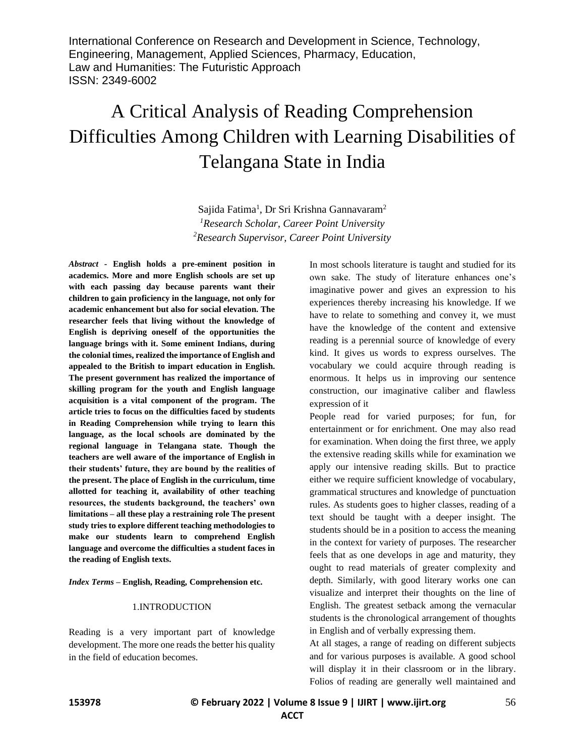# A Critical Analysis of Reading Comprehension Difficulties Among Children with Learning Disabilities of Telangana State in India

Sajida Fatima<sup>1</sup>, Dr Sri Krishna Gannavaram<sup>2</sup> *<sup>1</sup>Research Scholar, Career Point University <sup>2</sup>Research Supervisor, Career Point University*

*Abstract -* **English holds a pre-eminent position in academics. More and more English schools are set up with each passing day because parents want their children to gain proficiency in the language, not only for academic enhancement but also for social elevation. The researcher feels that living without the knowledge of English is depriving oneself of the opportunities the language brings with it. Some eminent Indians, during the colonial times, realized the importance of English and appealed to the British to impart education in English. The present government has realized the importance of skilling program for the youth and English language acquisition is a vital component of the program. The article tries to focus on the difficulties faced by students in Reading Comprehension while trying to learn this language, as the local schools are dominated by the regional language in Telangana state. Though the teachers are well aware of the importance of English in their students' future, they are bound by the realities of the present. The place of English in the curriculum, time allotted for teaching it, availability of other teaching resources, the students background, the teachers' own limitations – all these play a restraining role The present study tries to explore different teaching methodologies to make our students learn to comprehend English language and overcome the difficulties a student faces in the reading of English texts.**

*Index Terms –* **English, Reading, Comprehension etc.**

#### 1.INTRODUCTION

Reading is a very important part of knowledge development. The more one reads the better his quality in the field of education becomes.

In most schools literature is taught and studied for its own sake. The study of literature enhances one's imaginative power and gives an expression to his experiences thereby increasing his knowledge. If we have to relate to something and convey it, we must have the knowledge of the content and extensive reading is a perennial source of knowledge of every kind. It gives us words to express ourselves. The vocabulary we could acquire through reading is enormous. It helps us in improving our sentence construction, our imaginative caliber and flawless expression of it

People read for varied purposes; for fun, for entertainment or for enrichment. One may also read for examination. When doing the first three, we apply the extensive reading skills while for examination we apply our intensive reading skills. But to practice either we require sufficient knowledge of vocabulary, grammatical structures and knowledge of punctuation rules. As students goes to higher classes, reading of a text should be taught with a deeper insight. The students should be in a position to access the meaning in the context for variety of purposes. The researcher feels that as one develops in age and maturity, they ought to read materials of greater complexity and depth. Similarly, with good literary works one can visualize and interpret their thoughts on the line of English. The greatest setback among the vernacular students is the chronological arrangement of thoughts in English and of verbally expressing them.

At all stages, a range of reading on different subjects and for various purposes is available. A good school will display it in their classroom or in the library. Folios of reading are generally well maintained and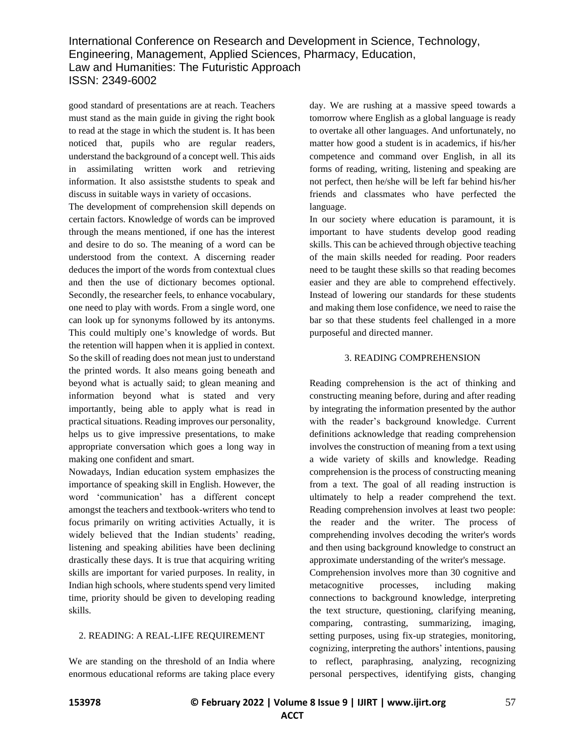good standard of presentations are at reach. Teachers must stand as the main guide in giving the right book to read at the stage in which the student is. It has been noticed that, pupils who are regular readers, understand the background of a concept well. This aids in assimilating written work and retrieving information. It also assiststhe students to speak and discuss in suitable ways in variety of occasions.

The development of comprehension skill depends on certain factors. Knowledge of words can be improved through the means mentioned, if one has the interest and desire to do so. The meaning of a word can be understood from the context. A discerning reader deduces the import of the words from contextual clues and then the use of dictionary becomes optional. Secondly, the researcher feels, to enhance vocabulary, one need to play with words. From a single word, one can look up for synonyms followed by its antonyms. This could multiply one's knowledge of words. But the retention will happen when it is applied in context. So the skill of reading does not mean just to understand the printed words. It also means going beneath and beyond what is actually said; to glean meaning and information beyond what is stated and very importantly, being able to apply what is read in practical situations. Reading improves our personality, helps us to give impressive presentations, to make appropriate conversation which goes a long way in making one confident and smart.

Nowadays, Indian education system emphasizes the importance of speaking skill in English. However, the word 'communication' has a different concept amongst the teachers and textbook-writers who tend to focus primarily on writing activities Actually, it is widely believed that the Indian students' reading, listening and speaking abilities have been declining drastically these days. It is true that acquiring writing skills are important for varied purposes. In reality, in Indian high schools, where students spend very limited time, priority should be given to developing reading skills.

# 2. READING: A REAL-LIFE REQUIREMENT

We are standing on the threshold of an India where enormous educational reforms are taking place every day. We are rushing at a massive speed towards a tomorrow where English as a global language is ready to overtake all other languages. And unfortunately, no matter how good a student is in academics, if his/her competence and command over English, in all its forms of reading, writing, listening and speaking are not perfect, then he/she will be left far behind his/her friends and classmates who have perfected the language.

In our society where education is paramount, it is important to have students develop good reading skills. This can be achieved through objective teaching of the main skills needed for reading. Poor readers need to be taught these skills so that reading becomes easier and they are able to comprehend effectively. Instead of lowering our standards for these students and making them lose confidence, we need to raise the bar so that these students feel challenged in a more purposeful and directed manner.

#### 3. READING COMPREHENSION

Reading comprehension is the act of thinking and constructing meaning before, during and after reading by integrating the information presented by the author with the reader's background knowledge. Current definitions acknowledge that reading comprehension involves the construction of meaning from a text using a wide variety of skills and knowledge. Reading comprehension is the process of constructing meaning from a text. The goal of all reading instruction is ultimately to help a reader comprehend the text. Reading comprehension involves at least two people: the reader and the writer. The process of comprehending involves decoding the writer's words and then using background knowledge to construct an approximate understanding of the writer's message.

Comprehension involves more than 30 cognitive and metacognitive processes, including making connections to background knowledge, interpreting the text structure, questioning, clarifying meaning, comparing, contrasting, summarizing, imaging, setting purposes, using fix-up strategies, monitoring, cognizing, interpreting the authors' intentions, pausing to reflect, paraphrasing, analyzing, recognizing personal perspectives, identifying gists, changing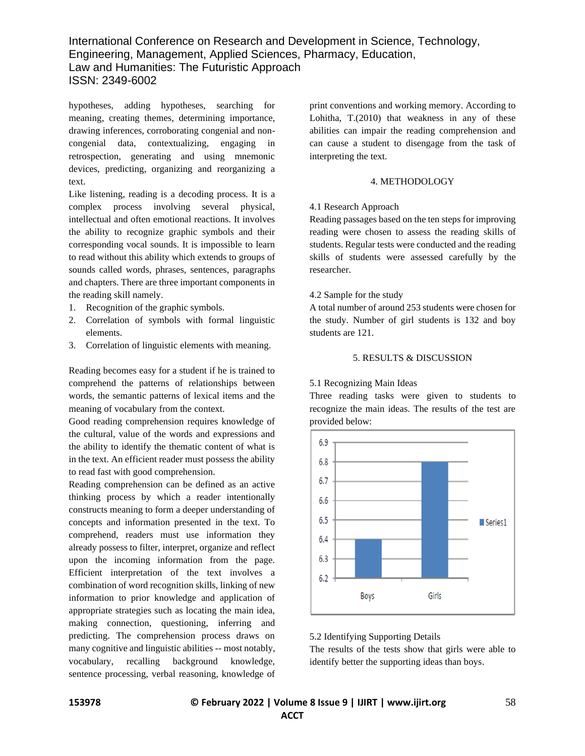hypotheses, adding hypotheses, searching for meaning, creating themes, determining importance, drawing inferences, corroborating congenial and noncongenial data, contextualizing, engaging in retrospection, generating and using mnemonic devices, predicting, organizing and reorganizing a text.

Like listening, reading is a decoding process. It is a complex process involving several physical, intellectual and often emotional reactions. It involves the ability to recognize graphic symbols and their corresponding vocal sounds. It is impossible to learn to read without this ability which extends to groups of sounds called words, phrases, sentences, paragraphs and chapters. There are three important components in the reading skill namely.

- 1. Recognition of the graphic symbols.
- 2. Correlation of symbols with formal linguistic elements.
- 3. Correlation of linguistic elements with meaning.

Reading becomes easy for a student if he is trained to comprehend the patterns of relationships between words, the semantic patterns of lexical items and the meaning of vocabulary from the context.

Good reading comprehension requires knowledge of the cultural, value of the words and expressions and the ability to identify the thematic content of what is in the text. An efficient reader must possess the ability to read fast with good comprehension.

Reading comprehension can be defined as an active thinking process by which a reader intentionally constructs meaning to form a deeper understanding of concepts and information presented in the text. To comprehend, readers must use information they already possess to filter, interpret, organize and reflect upon the incoming information from the page. Efficient interpretation of the text involves a combination of word recognition skills, linking of new information to prior knowledge and application of appropriate strategies such as locating the main idea, making connection, questioning, inferring and predicting. The comprehension process draws on many cognitive and linguistic abilities -- most notably, vocabulary, recalling background knowledge, sentence processing, verbal reasoning, knowledge of

print conventions and working memory. According to Lohitha, T.(2010) that weakness in any of these abilities can impair the reading comprehension and can cause a student to disengage from the task of interpreting the text.

## 4. METHODOLOGY

#### 4.1 Research Approach

Reading passages based on the ten steps for improving reading were chosen to assess the reading skills of students. Regular tests were conducted and the reading skills of students were assessed carefully by the researcher.

## 4.2 Sample for the study

A total number of around 253 students were chosen for the study. Number of girl students is 132 and boy students are 121.

## 5. RESULTS & DISCUSSION

# 5.1 Recognizing Main Ideas

Three reading tasks were given to students to recognize the main ideas. The results of the test are provided below:



#### 5.2 Identifying Supporting Details

The results of the tests show that girls were able to identify better the supporting ideas than boys.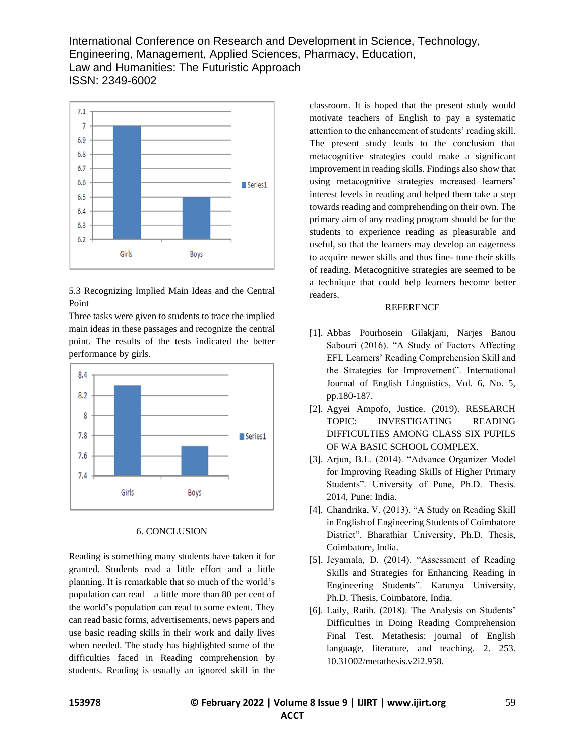

5.3 Recognizing Implied Main Ideas and the Central Point

Three tasks were given to students to trace the implied main ideas in these passages and recognize the central point. The results of the tests indicated the better performance by girls.



#### 6. CONCLUSION

Reading is something many students have taken it for granted. Students read a little effort and a little planning. It is remarkable that so much of the world's population can read – a little more than 80 per cent of the world's population can read to some extent. They can read basic forms, advertisements, news papers and use basic reading skills in their work and daily lives when needed. The study has highlighted some of the difficulties faced in Reading comprehension by students. Reading is usually an ignored skill in the

classroom. It is hoped that the present study would motivate teachers of English to pay a systematic attention to the enhancement of students' reading skill. The present study leads to the conclusion that metacognitive strategies could make a significant improvement in reading skills. Findings also show that using metacognitive strategies increased learners' interest levels in reading and helped them take a step towards reading and comprehending on their own. The primary aim of any reading program should be for the students to experience reading as pleasurable and useful, so that the learners may develop an eagerness to acquire newer skills and thus fine- tune their skills of reading. Metacognitive strategies are seemed to be a technique that could help learners become better readers.

#### REFERENCE

- [1]. Abbas Pourhosein Gilakjani, Narjes Banou Sabouri (2016). "A Study of Factors Affecting EFL Learners' Reading Comprehension Skill and the Strategies for Improvement". International Journal of English Linguistics, Vol. 6, No. 5, pp.180-187.
- [2]. Agyei Ampofo, Justice. (2019). RESEARCH TOPIC: INVESTIGATING READING DIFFICULTIES AMONG CLASS SIX PUPILS OF WA BASIC SCHOOL COMPLEX.
- [3]. Arjun, B.L. (2014). "Advance Organizer Model for Improving Reading Skills of Higher Primary Students". University of Pune, Ph.D. Thesis. 2014, Pune: India.
- [4]. Chandrika, V. (2013). "A Study on Reading Skill in English of Engineering Students of Coimbatore District". Bharathiar University, Ph.D. Thesis, Coimbatore, India.
- [5]. Jeyamala, D. (2014). "Assessment of Reading Skills and Strategies for Enhancing Reading in Engineering Students". Karunya University, Ph.D. Thesis, Coimbatore, India.
- [6]. Laily, Ratih. (2018). The Analysis on Students' Difficulties in Doing Reading Comprehension Final Test. Metathesis: journal of English language, literature, and teaching. 2. 253. 10.31002/metathesis.v2i2.958.